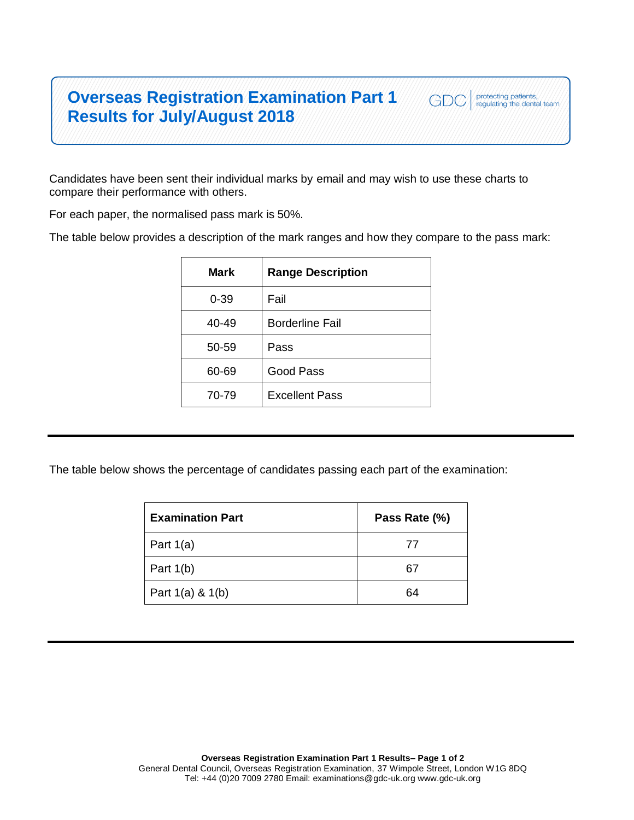## **Overseas Registration Examination Part 1 Results for July/August 2018**



Candidates have been sent their individual marks by email and may wish to use these charts to compare their performance with others.

For each paper, the normalised pass mark is 50%.

The table below provides a description of the mark ranges and how they compare to the pass mark:

| Mark     | <b>Range Description</b> |
|----------|--------------------------|
| $0 - 39$ | Fail                     |
| 40-49    | <b>Borderline Fail</b>   |
| 50-59    | Pass                     |
| 60-69    | Good Pass                |
| 70-79    | <b>Excellent Pass</b>    |

The table below shows the percentage of candidates passing each part of the examination:

| <b>Examination Part</b> | Pass Rate (%) |
|-------------------------|---------------|
| Part $1(a)$             | 77            |
| Part $1(b)$             | 67            |
| Part $1(a)$ & $1(b)$    | 64            |